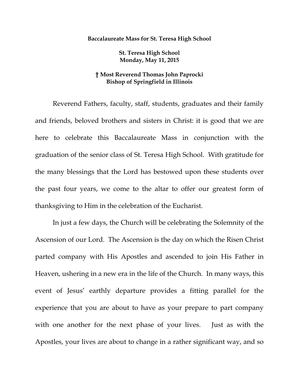## **Baccalaureate Mass for St. Teresa High School**

**St. Teresa High School Monday, May 11, 2015** 

## **† Most Reverend Thomas John Paprocki Bishop of Springfield in Illinois**

 Reverend Fathers, faculty, staff, students, graduates and their family and friends, beloved brothers and sisters in Christ: it is good that we are here to celebrate this Baccalaureate Mass in conjunction with the graduation of the senior class of St. Teresa High School. With gratitude for the many blessings that the Lord has bestowed upon these students over the past four years, we come to the altar to offer our greatest form of thanksgiving to Him in the celebration of the Eucharist.

 In just a few days, the Church will be celebrating the Solemnity of the Ascension of our Lord. The Ascension is the day on which the Risen Christ parted company with His Apostles and ascended to join His Father in Heaven, ushering in a new era in the life of the Church. In many ways, this event of Jesus' earthly departure provides a fitting parallel for the experience that you are about to have as your prepare to part company with one another for the next phase of your lives. Just as with the Apostles, your lives are about to change in a rather significant way, and so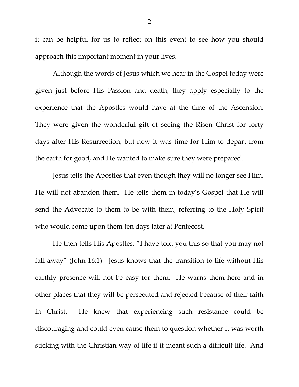it can be helpful for us to reflect on this event to see how you should approach this important moment in your lives.

 Although the words of Jesus which we hear in the Gospel today were given just before His Passion and death, they apply especially to the experience that the Apostles would have at the time of the Ascension. They were given the wonderful gift of seeing the Risen Christ for forty days after His Resurrection, but now it was time for Him to depart from the earth for good, and He wanted to make sure they were prepared.

 Jesus tells the Apostles that even though they will no longer see Him, He will not abandon them. He tells them in today's Gospel that He will send the Advocate to them to be with them, referring to the Holy Spirit who would come upon them ten days later at Pentecost.

He then tells His Apostles: "I have told you this so that you may not fall away" (John 16:1). Jesus knows that the transition to life without His earthly presence will not be easy for them. He warns them here and in other places that they will be persecuted and rejected because of their faith in Christ. He knew that experiencing such resistance could be discouraging and could even cause them to question whether it was worth sticking with the Christian way of life if it meant such a difficult life. And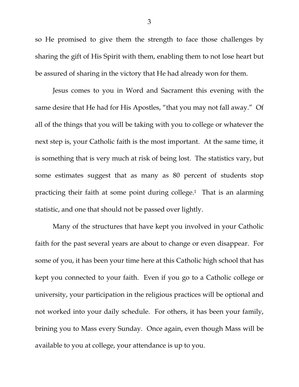so He promised to give them the strength to face those challenges by sharing the gift of His Spirit with them, enabling them to not lose heart but be assured of sharing in the victory that He had already won for them.

Jesus comes to you in Word and Sacrament this evening with the same desire that He had for His Apostles, "that you may not fall away." Of all of the things that you will be taking with you to college or whatever the next step is, your Catholic faith is the most important. At the same time, it is something that is very much at risk of being lost. The statistics vary, but some estimates suggest that as many as 80 percent of students stop practicing their faith at some point during college.1 That is an alarming statistic, and one that should not be passed over lightly.

Many of the structures that have kept you involved in your Catholic faith for the past several years are about to change or even disappear. For some of you, it has been your time here at this Catholic high school that has kept you connected to your faith. Even if you go to a Catholic college or university, your participation in the religious practices will be optional and not worked into your daily schedule. For others, it has been your family, brining you to Mass every Sunday. Once again, even though Mass will be available to you at college, your attendance is up to you.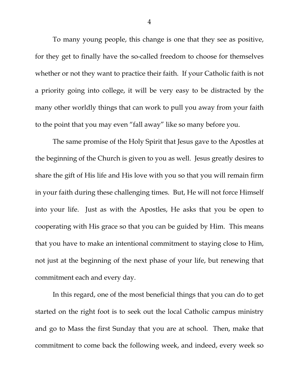To many young people, this change is one that they see as positive, for they get to finally have the so-called freedom to choose for themselves whether or not they want to practice their faith. If your Catholic faith is not a priority going into college, it will be very easy to be distracted by the many other worldly things that can work to pull you away from your faith to the point that you may even "fall away" like so many before you.

The same promise of the Holy Spirit that Jesus gave to the Apostles at the beginning of the Church is given to you as well. Jesus greatly desires to share the gift of His life and His love with you so that you will remain firm in your faith during these challenging times. But, He will not force Himself into your life. Just as with the Apostles, He asks that you be open to cooperating with His grace so that you can be guided by Him. This means that you have to make an intentional commitment to staying close to Him, not just at the beginning of the next phase of your life, but renewing that commitment each and every day.

In this regard, one of the most beneficial things that you can do to get started on the right foot is to seek out the local Catholic campus ministry and go to Mass the first Sunday that you are at school. Then, make that commitment to come back the following week, and indeed, every week so

4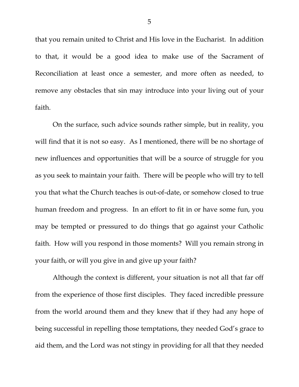that you remain united to Christ and His love in the Eucharist. In addition to that, it would be a good idea to make use of the Sacrament of Reconciliation at least once a semester, and more often as needed, to remove any obstacles that sin may introduce into your living out of your faith.

On the surface, such advice sounds rather simple, but in reality, you will find that it is not so easy. As I mentioned, there will be no shortage of new influences and opportunities that will be a source of struggle for you as you seek to maintain your faith. There will be people who will try to tell you that what the Church teaches is out-of-date, or somehow closed to true human freedom and progress. In an effort to fit in or have some fun, you may be tempted or pressured to do things that go against your Catholic faith. How will you respond in those moments? Will you remain strong in your faith, or will you give in and give up your faith?

Although the context is different, your situation is not all that far off from the experience of those first disciples. They faced incredible pressure from the world around them and they knew that if they had any hope of being successful in repelling those temptations, they needed God's grace to aid them, and the Lord was not stingy in providing for all that they needed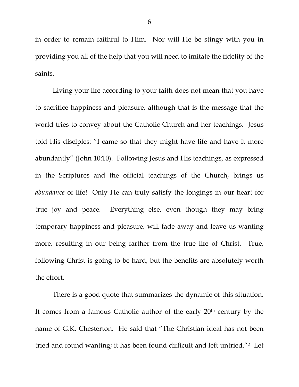in order to remain faithful to Him. Nor will He be stingy with you in providing you all of the help that you will need to imitate the fidelity of the saints.

Living your life according to your faith does not mean that you have to sacrifice happiness and pleasure, although that is the message that the world tries to convey about the Catholic Church and her teachings. Jesus told His disciples: "I came so that they might have life and have it more abundantly" (John 10:10). Following Jesus and His teachings, as expressed in the Scriptures and the official teachings of the Church, brings us *abundance* of life! Only He can truly satisfy the longings in our heart for true joy and peace. Everything else, even though they may bring temporary happiness and pleasure, will fade away and leave us wanting more, resulting in our being farther from the true life of Christ. True, following Christ is going to be hard, but the benefits are absolutely worth the effort.

There is a good quote that summarizes the dynamic of this situation. It comes from a famous Catholic author of the early 20th century by the name of G.K. Chesterton. He said that "The Christian ideal has not been tried and found wanting; it has been found difficult and left untried."2 Let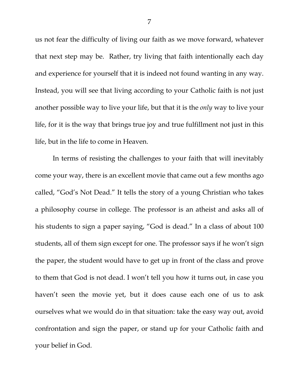us not fear the difficulty of living our faith as we move forward, whatever that next step may be. Rather, try living that faith intentionally each day and experience for yourself that it is indeed not found wanting in any way. Instead, you will see that living according to your Catholic faith is not just another possible way to live your life, but that it is the *only* way to live your life, for it is the way that brings true joy and true fulfillment not just in this life, but in the life to come in Heaven.

In terms of resisting the challenges to your faith that will inevitably come your way, there is an excellent movie that came out a few months ago called, "God's Not Dead." It tells the story of a young Christian who takes a philosophy course in college. The professor is an atheist and asks all of his students to sign a paper saying, "God is dead." In a class of about 100 students, all of them sign except for one. The professor says if he won't sign the paper, the student would have to get up in front of the class and prove to them that God is not dead. I won't tell you how it turns out, in case you haven't seen the movie yet, but it does cause each one of us to ask ourselves what we would do in that situation: take the easy way out, avoid confrontation and sign the paper, or stand up for your Catholic faith and your belief in God.

7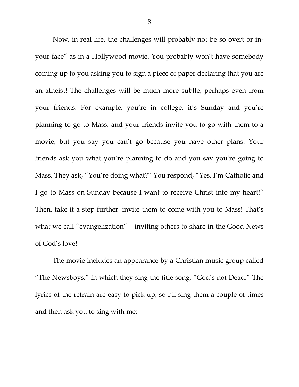Now, in real life, the challenges will probably not be so overt or inyour-face" as in a Hollywood movie. You probably won't have somebody coming up to you asking you to sign a piece of paper declaring that you are an atheist! The challenges will be much more subtle, perhaps even from your friends. For example, you're in college, it's Sunday and you're planning to go to Mass, and your friends invite you to go with them to a movie, but you say you can't go because you have other plans. Your friends ask you what you're planning to do and you say you're going to Mass. They ask, "You're doing what?" You respond, "Yes, I'm Catholic and I go to Mass on Sunday because I want to receive Christ into my heart!" Then, take it a step further: invite them to come with you to Mass! That's what we call "evangelization" – inviting others to share in the Good News of God's love!

 The movie includes an appearance by a Christian music group called "The Newsboys," in which they sing the title song, "God's not Dead." The lyrics of the refrain are easy to pick up, so I'll sing them a couple of times and then ask you to sing with me: